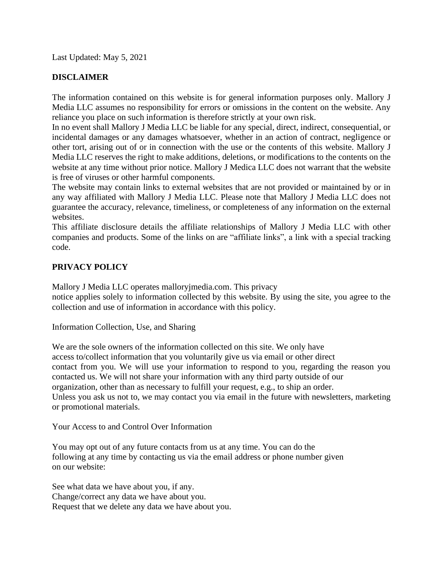Last Updated: May 5, 2021

## **DISCLAIMER**

The information contained on this website is for general information purposes only. Mallory J Media LLC assumes no responsibility for errors or omissions in the content on the website. Any reliance you place on such information is therefore strictly at your own risk.

In no event shall Mallory J Media LLC be liable for any special, direct, indirect, consequential, or incidental damages or any damages whatsoever, whether in an action of contract, negligence or other tort, arising out of or in connection with the use or the contents of this website. Mallory J Media LLC reserves the right to make additions, deletions, or modifications to the contents on the website at any time without prior notice. Mallory J Medica LLC does not warrant that the website is free of viruses or other harmful components.

The website may contain links to external websites that are not provided or maintained by or in any way affiliated with Mallory J Media LLC. Please note that Mallory J Media LLC does not guarantee the accuracy, relevance, timeliness, or completeness of any information on the external websites.

This affiliate disclosure details the affiliate relationships of Mallory J Media LLC with other companies and products. Some of the links on are "affiliate links", a link with a special tracking code.

## **PRIVACY POLICY**

Mallory J Media LLC operates malloryjmedia.com. This privacy notice applies solely to information collected by this website. By using the site, you agree to the collection and use of information in accordance with this policy.

Information Collection, Use, and Sharing

We are the sole owners of the information collected on this site. We only have access to/collect information that you voluntarily give us via email or other direct contact from you. We will use your information to respond to you, regarding the reason you contacted us. We will not share your information with any third party outside of our organization, other than as necessary to fulfill your request, e.g., to ship an order. Unless you ask us not to, we may contact you via email in the future with newsletters, marketing or promotional materials.

Your Access to and Control Over Information

You may opt out of any future contacts from us at any time. You can do the following at any time by contacting us via the email address or phone number given on our website:

See what data we have about you, if any. Change/correct any data we have about you. Request that we delete any data we have about you.